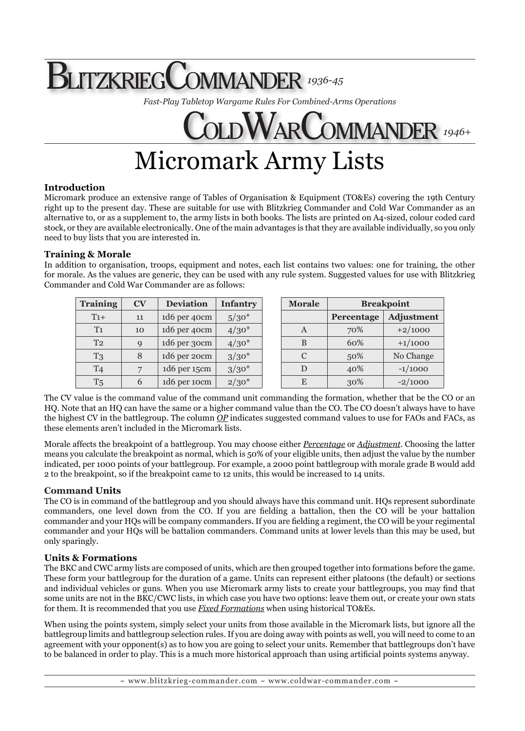# BlitzkriegCommander *1936-45*

*Fast-Play Tabletop Wargame Rules For Combined-Arms Operations*

# COLDWARCOMMANDER 1946+ Micromark Army Lists

# **Introduction**

Micromark produce an extensive range of Tables of Organisation & Equipment (TO&Es) covering the 19th Century right up to the present day. These are suitable for use with Blitzkrieg Commander and Cold War Commander as an alternative to, or as a supplement to, the army lists in both books. The lists are printed on A4-sized, colour coded card stock, or they are available electronically. One of the main advantages is that they are available individually, so you only need to buy lists that you are interested in.

# **Training & Morale**

In addition to organisation, troops, equipment and notes, each list contains two values: one for training, the other for morale. As the values are generic, they can be used with any rule system. Suggested values for use with Blitzkrieg Commander and Cold War Commander are as follows:

| <b>Training</b> | $\mathbf{CV}$ | <b>Deviation</b> | <b>Infantry</b> | <b>Morale</b> | <b>Breakpoint</b> |                   |
|-----------------|---------------|------------------|-----------------|---------------|-------------------|-------------------|
| $T_{1+}$        | 11            | 1d6 per 40cm     | $5/30*$         |               | Percentage        | <b>Adjustment</b> |
| T <sub>1</sub>  | 10            | 1d6 per 40cm     | $4/30*$         | A             | 70%               | $+2/1000$         |
| T <sub>2</sub>  | $\mathbf Q$   | 1d6 per 30cm     | $4/30*$         | B             | 60%               | $+1/1000$         |
| T <sub>3</sub>  | 8             | 1d6 per 20cm     | $3/30*$         | C             | 50%               | No Change         |
| T <sub>4</sub>  |               | 1d6 per 15cm     | $3/30*$         | D             | 40%               | $-1/1000$         |
| T <sub>5</sub>  | 6             | 1d6 per 10cm     | $2/30*$         | E             | 30%               | $-2/1000$         |

The CV value is the command value of the command unit commanding the formation, whether that be the CO or an HQ. Note that an HQ can have the same or a higher command value than the CO. The CO doesn't always have to have the highest CV in the battlegroup. The column *OP* indicates suggested command values to use for FAOs and FACs, as these elements aren't included in the Micromark lists.

Morale affects the breakpoint of a battlegroup. You may choose either *Percentage* or *Adjustment*. Choosing the latter means you calculate the breakpoint as normal, which is 50% of your eligible units, then adjust the value by the number indicated, per 1000 points of your battlegroup. For example, a 2000 point battlegroup with morale grade B would add 2 to the breakpoint, so if the breakpoint came to 12 units, this would be increased to 14 units.

# **Command Units**

The CO is in command of the battlegroup and you should always have this command unit. HQs represent subordinate commanders, one level down from the CO. If you are fielding a battalion, then the CO will be your battalion commander and your HQs will be company commanders. If you are fielding a regiment, the CO will be your regimental commander and your HQs will be battalion commanders. Command units at lower levels than this may be used, but only sparingly.

# **Units & Formations**

The BKC and CWC army lists are composed of units, which are then grouped together into formations before the game. These form your battlegroup for the duration of a game. Units can represent either platoons (the default) or sections and individual vehicles or guns. When you use Micromark army lists to create your battlegroups, you may find that some units are not in the BKC/CWC lists, in which case you have two options: leave them out, or create your own stats for them. It is recommended that you use *Fixed Formations* when using historical TO&Es.

When using the points system, simply select your units from those available in the Micromark lists, but ignore all the battlegroup limits and battlegroup selection rules. If you are doing away with points as well, you will need to come to an agreement with your opponent(s) as to how you are going to select your units. Remember that battlegroups don't have to be balanced in order to play. This is a much more historical approach than using artificial points systems anyway.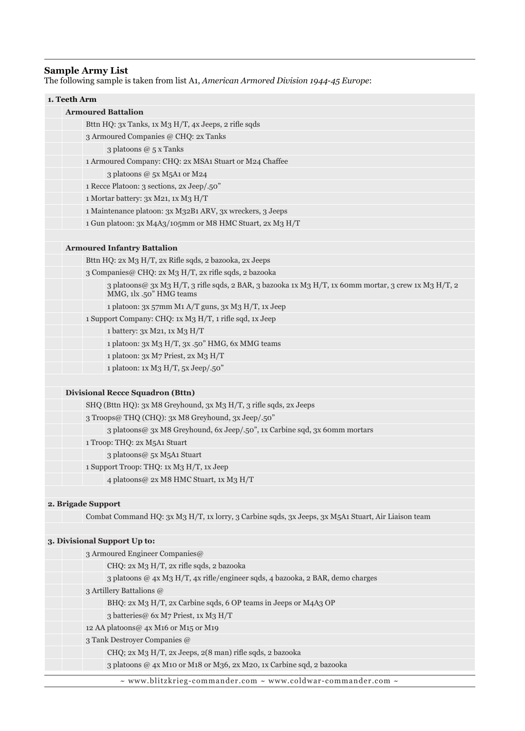#### **Sample Army List**

The following sample is taken from list A1, *American Armored Division 1944-45 Europe*:

#### **1. Teeth Arm**

#### **Armoured Battalion**

- Bttn HQ: 3x Tanks, 1x M3 H/T, 4x Jeeps, 2 rifle sqds
- 3 Armoured Companies @ CHQ: 2x Tanks

3 platoons @ 5 x Tanks

1 Armoured Company: CHQ: 2x MSA1 Stuart or M24 Chaffee

3 platoons @ 5x M5A1 or M24

1 Recce Platoon: 3 sections, 2x Jeep/.50"

1 Mortar battery: 3x M21, 1x M3 H/T

1 Maintenance platoon: 3x M32B1 ARV, 3x wreckers, 3 Jeeps

1 Gun platoon: 3x M4A3/105mm or M8 HMC Stuart, 2x M3 H/T

#### **Armoured Infantry Battalion**

Bttn HQ: 2x M3 H/T, 2x Rifle sqds, 2 bazooka, 2x Jeeps

3 Companies@ CHQ: 2x M3 H/T, 2x rifle sqds, 2 bazooka

3 platoons@ 3x M3 H/T, 3 rifle sqds, 2 BAR, 3 bazooka 1x M3 H/T, 1x 60mm mortar, 3 crew 1x M3 H/T, 2 MMG, 1lx .50" HMG teams

1 platoon: 3x 57mm M1 A/T guns, 3x M3 H/T, 1x Jeep

1 Support Company: CHQ: 1x M3 H/T, 1 rifle sqd, 1x Jeep

1 battery: 3x M21, 1x M3 H/T

1 platoon: 3x M3 H/T, 3x .50" HMG, 6x MMG teams

1 platoon: 3x M7 Priest, 2x M3 H/T

1 platoon: 1x M3 H/T, 5x Jeep/.50"

#### **Divisional Recce Squadron (Bttn)**

SHQ (Bttn HQ): 3x M8 Greyhound, 3x M3 H/T, 3 rifle sqds, 2x Jeeps 3 Troops@ THQ (CHQ): 3x M8 Greyhound, 3x Jeep/.50" 3 platoons@ 3x M8 Greyhound, 6x Jeep/.50", 1x Carbine sqd, 3x 60mm mortars 1 Troop: THQ: 2x M5A1 Stuart 3 platoons@ 5x M5A1 Stuart 1 Support Troop: THQ: 1x M3 H/T, 1x Jeep 4 platoons@ 2x M8 HMC Stuart, 1x M3 H/T

#### **2. Brigade Support**

Combat Command HQ: 3x M3 H/T, 1x lorry, 3 Carbine sqds, 3x Jeeps, 3x M5A1 Stuart, Air Liaison team

#### **3. Divisional Support Up to:**

| 3 Armoured Engineer Companies@ |                                                                                        |  |
|--------------------------------|----------------------------------------------------------------------------------------|--|
|                                | CHQ: 2x M3 H/T, 2x rifle sqds, 2 bazooka                                               |  |
|                                | 3 platoons @ $4x$ M3 H/T, $4x$ rifle/engineer sqds, $4$ bazooka, $2$ BAR, demo charges |  |
| 3 Artillery Battalions @       |                                                                                        |  |
|                                | BHQ: 2x M3 H/T, 2x Carbine sqds, 6 OP teams in Jeeps or M4A3 OP                        |  |
|                                | 3 batteries @ 6x M7 Priest, 1x M3 H/T                                                  |  |
|                                | 12 AA platoons@ 4x M16 or M15 or M19                                                   |  |
| 3 Tank Destroyer Companies @   |                                                                                        |  |
|                                | CHQ; 2x M3 H/T, 2x Jeeps, 2(8 man) rifle sqds, 2 bazooka                               |  |
|                                | 3 platoons @ 4x M10 or M18 or M36, 2x M20, 1x Carbine sqd, 2 bazooka                   |  |
|                                |                                                                                        |  |